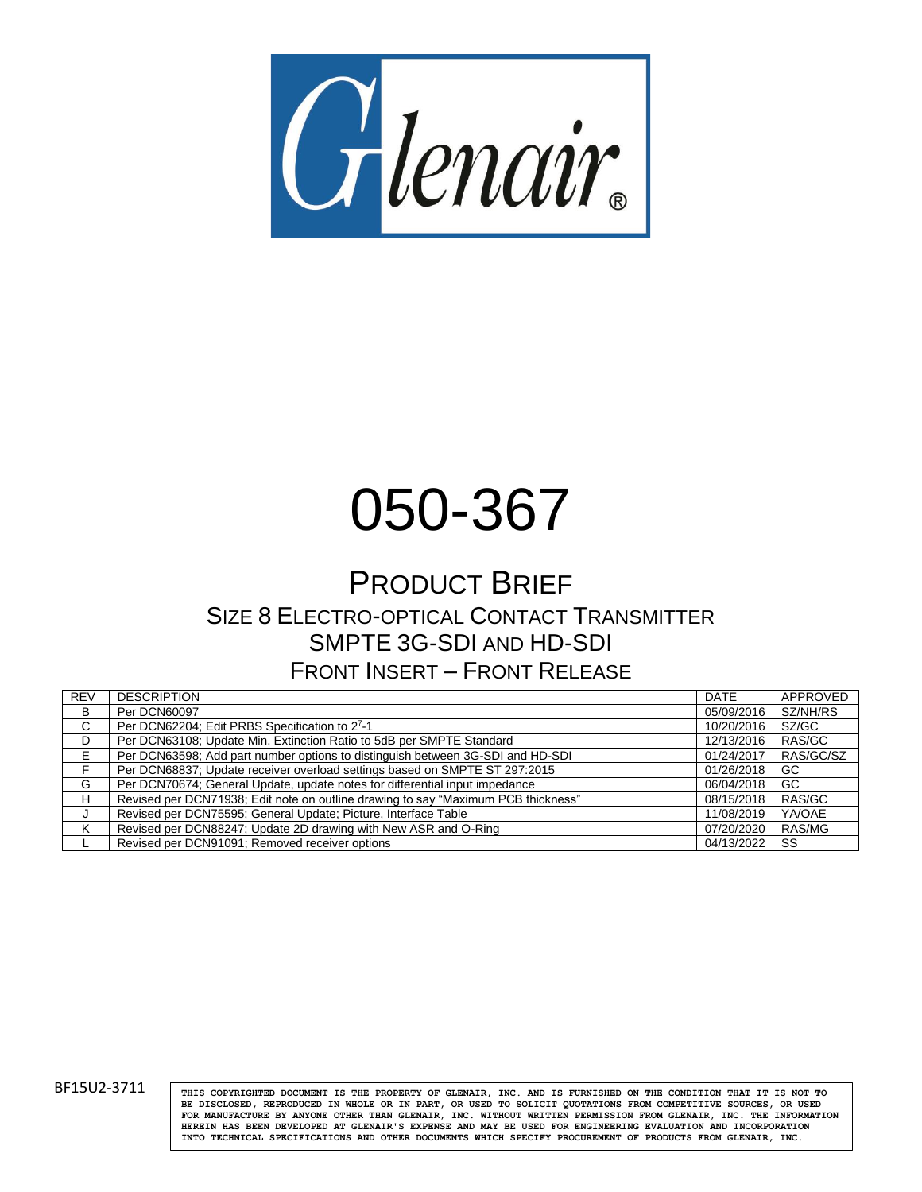

# 050-367

# PRODUCT BRIEF SIZE 8 ELECTRO-OPTICAL CONTACT TRANSMITTER SMPTE 3G-SDI AND HD-SDI FRONT INSERT – FRONT RELEASE

| <b>REV</b> | <b>DESCRIPTION</b>                                                                | <b>DATE</b> | APPROVED  |
|------------|-----------------------------------------------------------------------------------|-------------|-----------|
| B          | Per DCN60097                                                                      | 05/09/2016  | SZ/NH/RS  |
| С          | Per DCN62204; Edit PRBS Specification to 27-1                                     | 10/20/2016  | SZ/GC     |
| D          | Per DCN63108; Update Min. Extinction Ratio to 5dB per SMPTE Standard              | 12/13/2016  | RAS/GC    |
| E.         | Per DCN63598; Add part number options to distinguish between 3G-SDI and HD-SDI    | 01/24/2017  | RAS/GC/SZ |
|            | Per DCN68837; Update receiver overload settings based on SMPTE ST 297:2015        | 01/26/2018  | GC        |
| G          | Per DCN70674; General Update, update notes for differential input impedance       | 06/04/2018  | GC.       |
| н          | Revised per DCN71938; Edit note on outline drawing to say "Maximum PCB thickness" | 08/15/2018  | RAS/GC    |
|            | Revised per DCN75595; General Update; Picture, Interface Table                    | 11/08/2019  | YA/OAE    |
|            | Revised per DCN88247; Update 2D drawing with New ASR and O-Ring                   | 07/20/2020  | RAS/MG    |
|            | Revised per DCN91091; Removed receiver options                                    | 04/13/2022  | SS        |

BF15U2-3711 **THIS COPYRIGHTED DOCUMENT IS THE PROPERTY OF GLENAIR**, INC. AND IS FURNISHED ON THE CONDITION THAT IT IS NOT TO **BE DISCLOSED, REPRODUCED IN WHOLE OR IN PART, OR USED TO SOLICIT QUOTATIONS FROM COMPETITIVE SOURCES, OR USED FOR MANUFACTURE BY ANYONE OTHER THAN GLENAIR, INC. WITHOUT WRITTEN PERMISSION FROM GLENAIR, INC. THE INFORMATION HEREIN HAS BEEN DEVELOPED AT GLENAIR'S EXPENSE AND MAY BE USED FOR ENGINEERING EVALUATION AND INCORPORATION INTO TECHNICAL SPECIFICATIONS AND OTHER DOCUMENTS WHICH SPECIFY PROCUREMENT OF PRODUCTS FROM GLENAIR, INC.**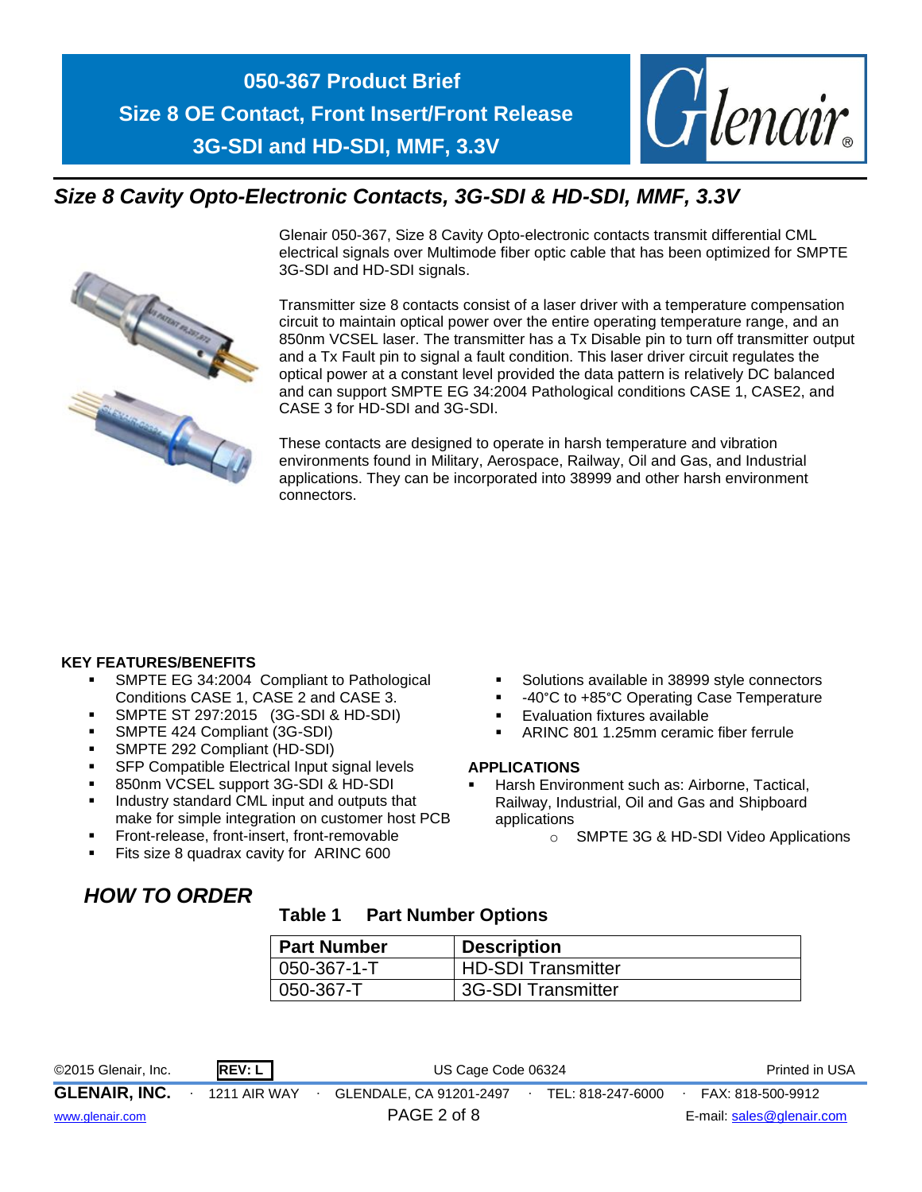

# *Size 8 Cavity Opto-Electronic Contacts, 3G-SDI & HD-SDI, MMF, 3.3V*



Glenair 050-367, Size 8 Cavity Opto-electronic contacts transmit differential CML electrical signals over Multimode fiber optic cable that has been optimized for SMPTE 3G-SDI and HD-SDI signals.

Transmitter size 8 contacts consist of a laser driver with a temperature compensation circuit to maintain optical power over the entire operating temperature range, and an 850nm VCSEL laser. The transmitter has a Tx Disable pin to turn off transmitter output and a Tx Fault pin to signal a fault condition. This laser driver circuit regulates the optical power at a constant level provided the data pattern is relatively DC balanced and can support SMPTE EG 34:2004 Pathological conditions CASE 1, CASE2, and CASE 3 for HD-SDI and 3G-SDI.

These contacts are designed to operate in harsh temperature and vibration environments found in Military, Aerospace, Railway, Oil and Gas, and Industrial applications. They can be incorporated into 38999 and other harsh environment connectors.

## **KEY FEATURES/BENEFITS**

- SMPTE EG 34:2004 Compliant to Pathological Conditions CASE 1, CASE 2 and CASE 3.
- **SMPTE ST 297:2015 (3G-SDI & HD-SDI)**
- SMPTE 424 Compliant (3G-SDI)
- SMPTE 292 Compliant (HD-SDI)
- SFP Compatible Electrical Input signal levels
- 850nm VCSEL support 3G-SDI & HD-SDI
- Industry standard CML input and outputs that make for simple integration on customer host PCB
- Front-release, front-insert, front-removable
- Fits size 8 quadrax cavity for ARINC 600
- Solutions available in 38999 style connectors
- -40°C to +85°C Operating Case Temperature
- **Evaluation fixtures available**
- ARINC 801 1.25mm ceramic fiber ferrule

#### **APPLICATIONS**

- Harsh Environment such as: Airborne, Tactical, Railway, Industrial, Oil and Gas and Shipboard applications
	- o SMPTE 3G & HD-SDI Video Applications

## *HOW TO ORDER*

## **Table 1 Part Number Options**

| Part Number   | <b>Description</b>        |
|---------------|---------------------------|
| $ 050-367-1-$ | <b>HD-SDI Transmitter</b> |
| $ 050-367-T$  | 3G-SDI Transmitter        |

| ©2015 Glenair, Inc.  | <b>REV: L</b>       | US Cage Code 06324      | Printed in USA    |                           |
|----------------------|---------------------|-------------------------|-------------------|---------------------------|
| <b>GLENAIR, INC.</b> | <b>1211 AIR WAY</b> | GLENDALE, CA 91201-2497 | TEL: 818-247-6000 | FAX: 818-500-9912         |
| www.glenair.com      |                     | PAGE 2 of 8             |                   | E-mail: sales@glenair.com |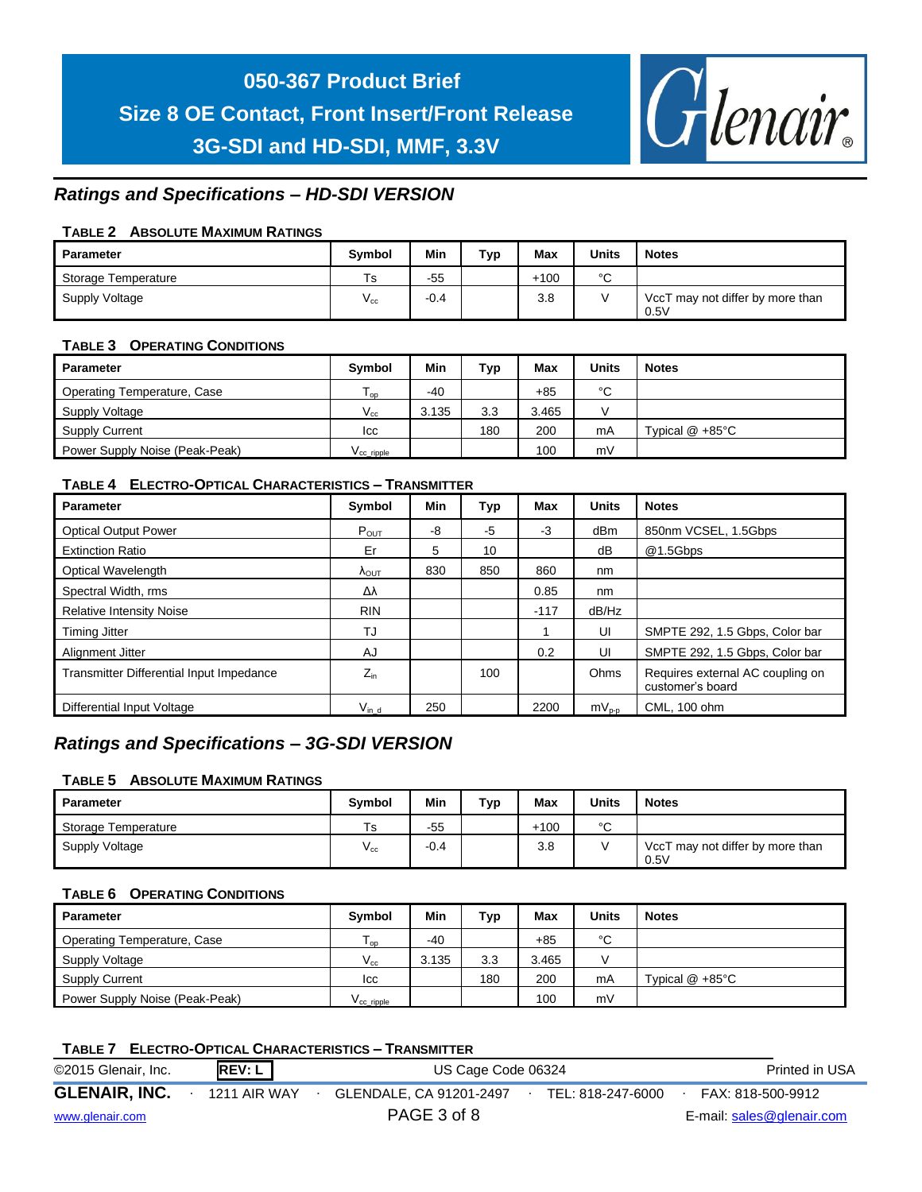

## *Ratings and Specifications – HD-SDI VERSION*

### **TABLE 2 ABSOLUTE MAXIMUM RATINGS**

| <b>Parameter</b>    | <b>Symbol</b>              | Min    | тур | <b>Max</b> | <b>Units</b> | <b>Notes</b>                             |
|---------------------|----------------------------|--------|-----|------------|--------------|------------------------------------------|
| Storage Temperature | Ts                         | $-55$  |     | $+100$     | $\circ$<br>ັ |                                          |
| Supply Voltage      | $\mathsf{v}_{\mathsf{cc}}$ | $-0.4$ |     | 3.8        |              | VccT may not differ by more than<br>0.5V |

#### **TABLE 3 OPERATING CONDITIONS**

| <b>Parameter</b>               | <b>Symbol</b>         | Min   | Typ | Max   | Units | <b>Notes</b>               |
|--------------------------------|-----------------------|-------|-----|-------|-------|----------------------------|
| Operating Temperature, Case    | l op                  | $-40$ |     | $+85$ | °C    |                            |
| Supply Voltage                 | $V_{cc}$              | 3.135 | 3.3 | 3.465 |       |                            |
| <b>Supply Current</b>          | Icc                   |       | 180 | 200   | mA    | Typical $@ + 85^{\circ}$ C |
| Power Supply Noise (Peak-Peak) | V <sub>ccripple</sub> |       |     | 100   | mV    |                            |

### **TABLE 4 ELECTRO-OPTICAL CHARACTERISTICS – TRANSMITTER**

| <b>Parameter</b>                         | Symbol                 | Min | Typ  | Max    | <b>Units</b> | <b>Notes</b>                                         |
|------------------------------------------|------------------------|-----|------|--------|--------------|------------------------------------------------------|
| <b>Optical Output Power</b>              | $P_{\text{OUT}}$       | -8  | $-5$ | $-3$   | dBm          | 850nm VCSEL, 1.5Gbps                                 |
| <b>Extinction Ratio</b>                  | Er                     | 5   | 10   |        | dB           | @1.5Gbps                                             |
| Optical Wavelength                       | $\Lambda_{\text{OUT}}$ | 830 | 850  | 860    | nm           |                                                      |
| Spectral Width, rms                      | Δλ                     |     |      | 0.85   | nm           |                                                      |
| <b>Relative Intensity Noise</b>          | <b>RIN</b>             |     |      | $-117$ | dB/Hz        |                                                      |
| <b>Timing Jitter</b>                     | TJ                     |     |      |        | UI           | SMPTE 292, 1.5 Gbps, Color bar                       |
| Alignment Jitter                         | AJ                     |     |      | 0.2    | UI           | SMPTE 292, 1.5 Gbps, Color bar                       |
| Transmitter Differential Input Impedance | $Z_{in}$               |     | 100  |        | Ohms         | Requires external AC coupling on<br>customer's board |
| Differential Input Voltage               | $V_{\text{in d}}$      | 250 |      | 2200   | $mV_{p-p}$   | CML, 100 ohm                                         |

## *Ratings and Specifications – 3G-SDI VERSION*

#### **TABLE 5 ABSOLUTE MAXIMUM RATINGS**

| Parameter           | <b>Symbol</b> | Min    | Typ | <b>Max</b> | <b>Units</b> | <b>Notes</b>                             |
|---------------------|---------------|--------|-----|------------|--------------|------------------------------------------|
| Storage Temperature | Ts            | $-55$  |     | $+100$     | $\sim$       |                                          |
| Supply Voltage      | V cc          | $-0.4$ |     | 3.8        |              | VccT may not differ by more than<br>0.5V |

#### **TABLE 6 OPERATING CONDITIONS**

| <b>Parameter</b>               | <b>Symbol</b>          | Min   | Тур | Max   | Units | <b>Notes</b>              |
|--------------------------------|------------------------|-------|-----|-------|-------|---------------------------|
| Operating Temperature, Case    | l oo                   | $-40$ |     | $+85$ | °C    |                           |
| Supply Voltage                 | $V_{cc}$               | 3.135 | 3.3 | 3.465 |       |                           |
| <b>Supply Current</b>          | Icc                    |       | 180 | 200   | mA    | Typical $@ + 85^{\circ}C$ |
| Power Supply Noise (Peak-Peak) | V <sub>cc</sub> ripple |       |     | 100   | mV    |                           |

|                      |               | <b>TABLE 7 ELECTRO-OPTICAL CHARACTERISTICS - TRANSMITTER</b> |                                        |                |
|----------------------|---------------|--------------------------------------------------------------|----------------------------------------|----------------|
| ©2015 Glenair, Inc.  | <b>REV: L</b> | US Cage Code 06324                                           |                                        | Printed in USA |
| <b>GLENAIR, INC.</b> | 1211 AIR WAY  | GLENDALE, CA 91201-2497                                      | FAX: 818-500-9912<br>TEL: 818-247-6000 |                |
| www.glenair.com      |               | PAGE 3 of 8                                                  | E-mail: sales@glenair.com              |                |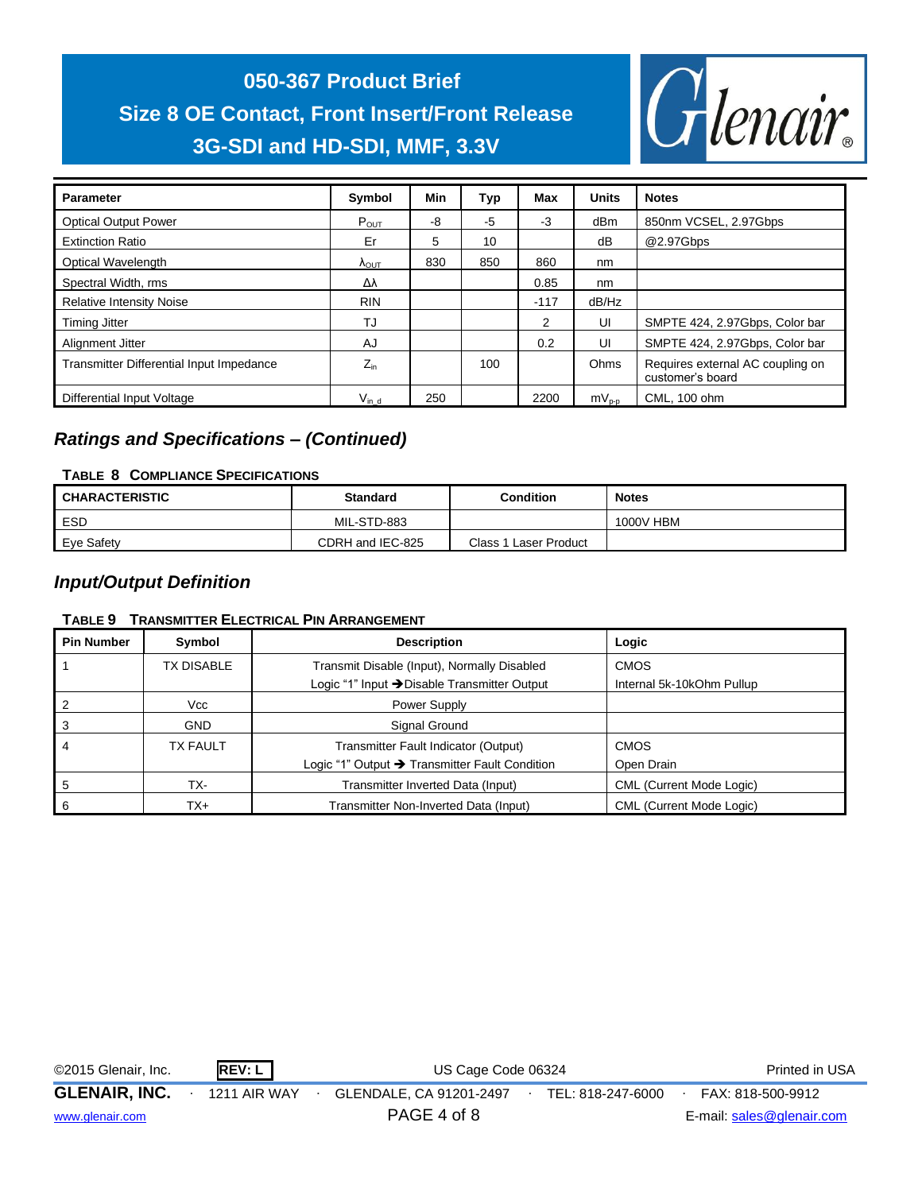

| <b>Parameter</b>                         | Symbol                 | Min | Typ  | Max    | <b>Units</b> | <b>Notes</b>                                         |
|------------------------------------------|------------------------|-----|------|--------|--------------|------------------------------------------------------|
| <b>Optical Output Power</b>              | $P_{OUT}$              | -8  | $-5$ | -3     | dBm          | 850nm VCSEL, 2.97Gbps                                |
| <b>Extinction Ratio</b>                  | Er                     | 5   | 10   |        | dB           | @2.97Gbps                                            |
| <b>Optical Wavelength</b>                | $\Lambda_{\text{OUT}}$ | 830 | 850  | 860    | nm           |                                                      |
| Spectral Width, rms                      | Δλ                     |     |      | 0.85   | nm           |                                                      |
| <b>Relative Intensity Noise</b>          | <b>RIN</b>             |     |      | $-117$ | dB/Hz        |                                                      |
| <b>Timing Jitter</b>                     | TJ                     |     |      | 2      | UI           | SMPTE 424, 2.97Gbps, Color bar                       |
| Alignment Jitter                         | AJ                     |     |      | 0.2    | UI           | SMPTE 424, 2.97Gbps, Color bar                       |
| Transmitter Differential Input Impedance | $Z_{in}$               |     | 100  |        | Ohms         | Requires external AC coupling on<br>customer's board |
| Differential Input Voltage               | $V_{\text{in d}}$      | 250 |      | 2200   | $mv_{p-p}$   | CML, 100 ohm                                         |

## *Ratings and Specifications – (Continued)*

## **TABLE 8 COMPLIANCE SPECIFICATIONS**

| <b>CHARACTERISTIC</b> | <b>Standard</b>  | Condition             | <b>Notes</b> |
|-----------------------|------------------|-----------------------|--------------|
| ESD                   | MIL-STD-883      |                       | 1000V HBM    |
| Eye Safety            | CDRH and IEC-825 | Class 1 Laser Product |              |

## *Input/Output Definition*

## **TABLE 9 TRANSMITTER ELECTRICAL PIN ARRANGEMENT**

| <b>Pin Number</b> | Symbol          | <b>Description</b>                             | Logic                           |
|-------------------|-----------------|------------------------------------------------|---------------------------------|
|                   | TX DISABLE      | Transmit Disable (Input), Normally Disabled    | <b>CMOS</b>                     |
|                   |                 | Logic "1" Input → Disable Transmitter Output   | Internal 5k-10kOhm Pullup       |
|                   | Vcc             | Power Supply                                   |                                 |
| 3                 | <b>GND</b>      | Signal Ground                                  |                                 |
|                   | <b>TX FAULT</b> | Transmitter Fault Indicator (Output)           | <b>CMOS</b>                     |
|                   |                 | Logic "1" Output → Transmitter Fault Condition | Open Drain                      |
| 5                 | TX-             | Transmitter Inverted Data (Input)              | <b>CML (Current Mode Logic)</b> |
| 6                 | TX+             | Transmitter Non-Inverted Data (Input)          | <b>CML (Current Mode Logic)</b> |

| ©2015 Glenair, Inc.  | REV: L              | US Cage Code 06324      |  |                   |  | Printed in USA            |
|----------------------|---------------------|-------------------------|--|-------------------|--|---------------------------|
| <b>GLENAIR, INC.</b> | <b>1211 AIR WAY</b> | GLENDALE, CA 91201-2497 |  | TEL: 818-247-6000 |  | FAX: 818-500-9912         |
| www.glenair.com      |                     | PAGE 4 of 8             |  |                   |  | E-mail: sales@glenair.com |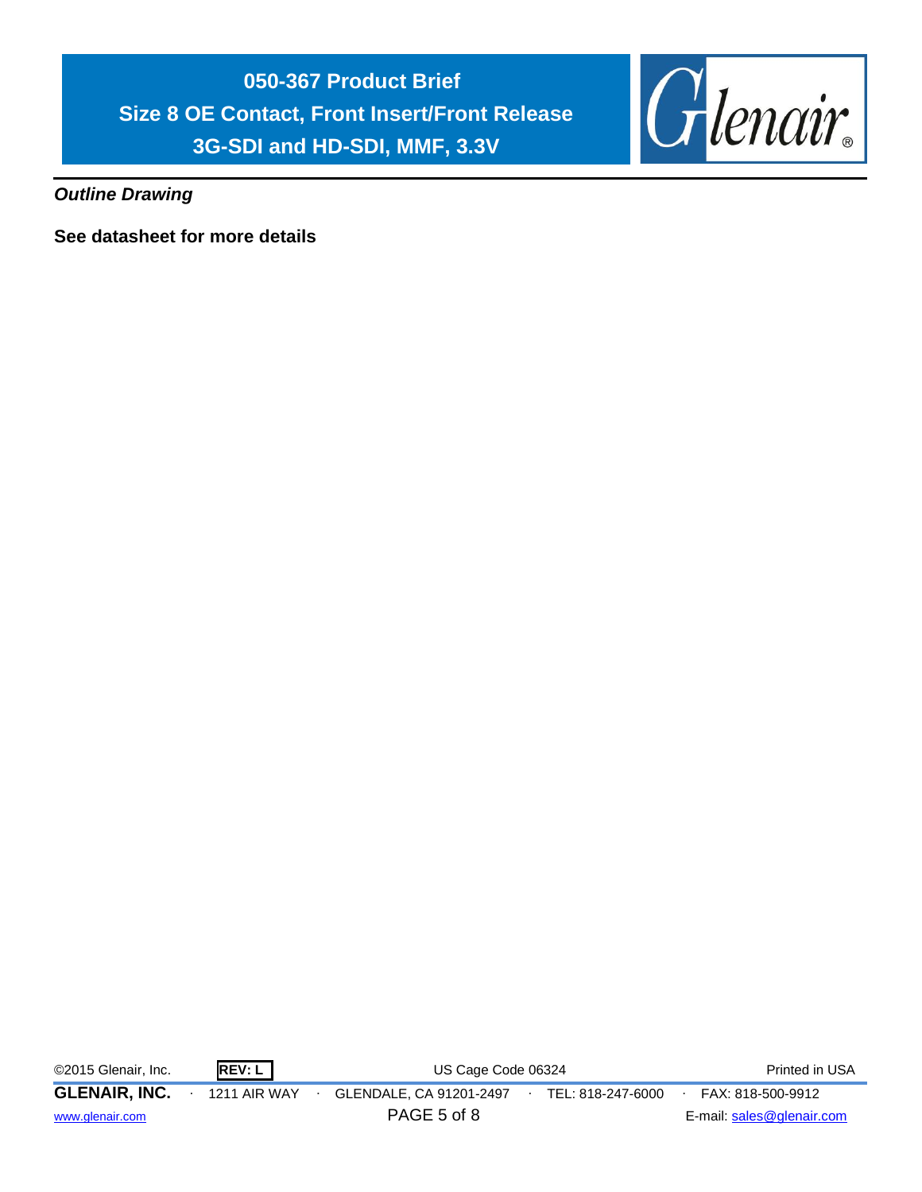

*Outline Drawing*

**See datasheet for more details**

| ©2015 Glenair, Inc.                     | REV: L              | US Cage Code 06324                     |                   | Printed in USA                                 |
|-----------------------------------------|---------------------|----------------------------------------|-------------------|------------------------------------------------|
| <b>GLENAIR, INC.</b><br>www.glenair.com | <b>1211 AIR WAY</b> | GLENDALE, CA 91201-2497<br>PAGE 5 of 8 | TEL: 818-247-6000 | FAX: 818-500-9912<br>E-mail: sales@glenair.com |
|                                         |                     |                                        |                   |                                                |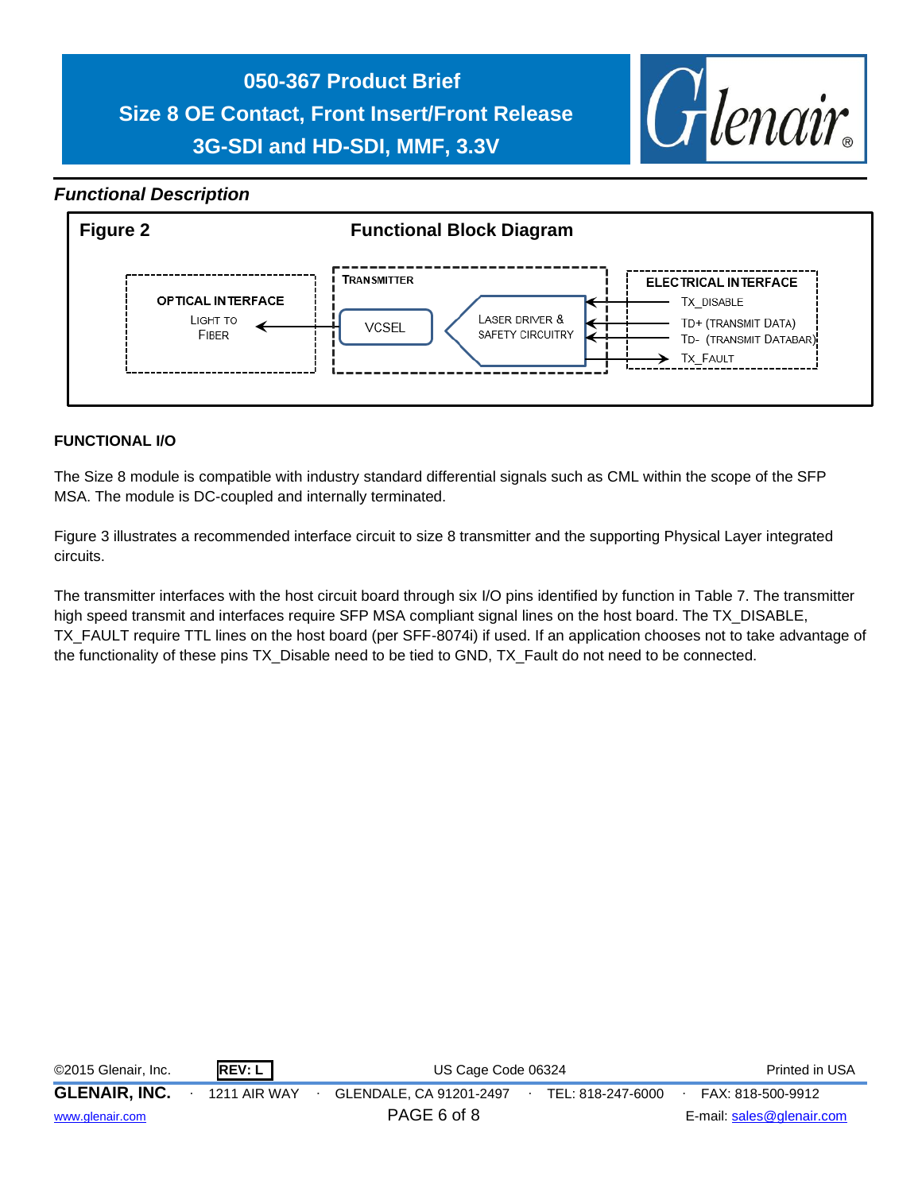

## *Functional Description*



## **FUNCTIONAL I/O**

The Size 8 module is compatible with industry standard differential signals such as CML within the scope of the SFP MSA. The module is DC-coupled and internally terminated.

Figure 3 illustrates a recommended interface circuit to size 8 transmitter and the supporting Physical Layer integrated circuits.

The transmitter interfaces with the host circuit board through six I/O pins identified by function in Table 7. The transmitter high speed transmit and interfaces require SFP MSA compliant signal lines on the host board. The TX\_DISABLE, TX\_FAULT require TTL lines on the host board (per SFF-8074i) if used. If an application chooses not to take advantage of the functionality of these pins TX\_Disable need to be tied to GND, TX\_Fault do not need to be connected.

| ©2015 Glenair, Inc.  | REV: L              | US Cage Code 06324      | Printed in USA    |                           |
|----------------------|---------------------|-------------------------|-------------------|---------------------------|
| <b>GLENAIR, INC.</b> | <b>1211 AIR WAY</b> | GLENDALE, CA 91201-2497 | TEL: 818-247-6000 | FAX: 818-500-9912         |
| www.glenair.com      |                     | PAGE 6 of 8             |                   | E-mail: sales@glenair.com |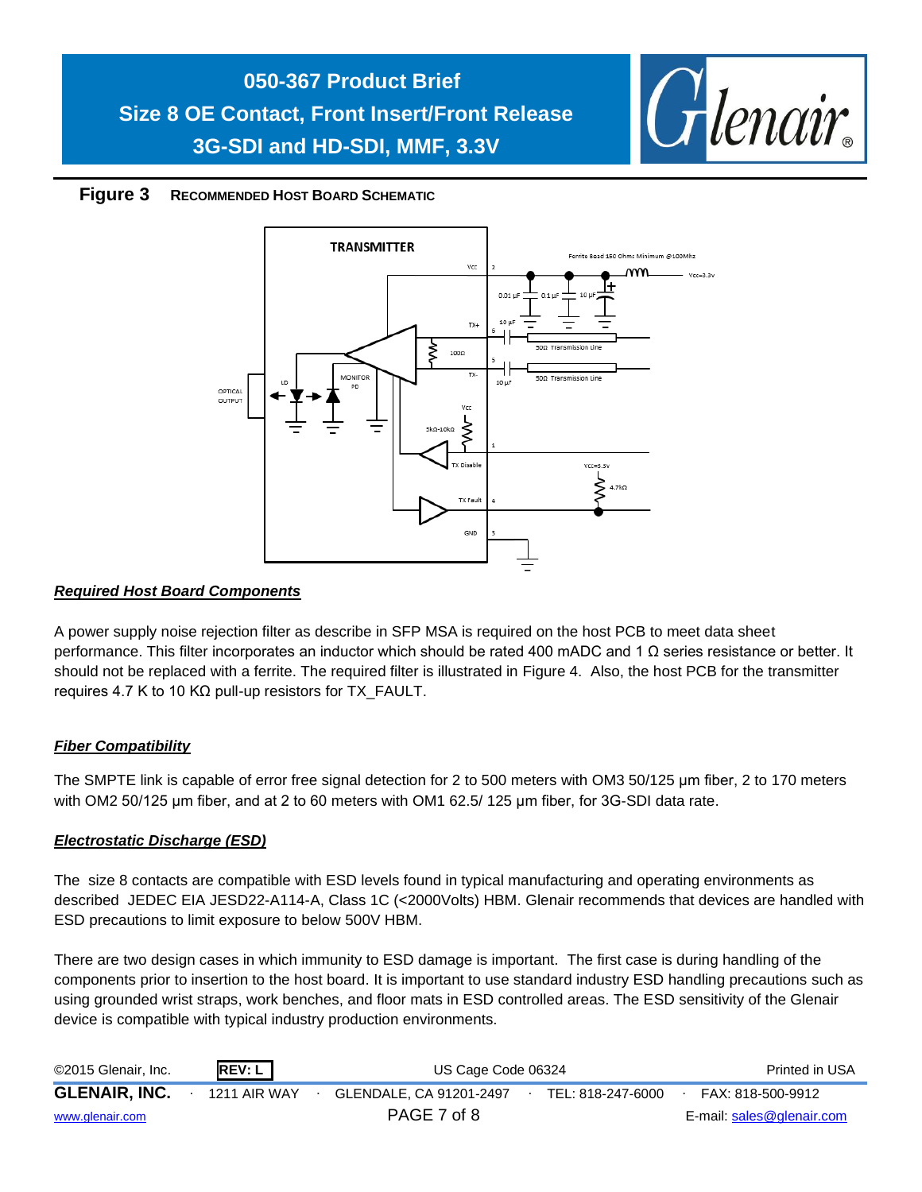

## **Figure 3 RECOMMENDED HOST BOARD SCHEMATIC**



## *Required Host Board Components*

A power supply noise rejection filter as describe in SFP MSA is required on the host PCB to meet data sheet performance. This filter incorporates an inductor which should be rated 400 mADC and 1 Ω series resistance or better. It should not be replaced with a ferrite. The required filter is illustrated in Figure 4. Also, the host PCB for the transmitter requires 4.7 K to 10 KΩ pull-up resistors for TX\_FAULT.

## *Fiber Compatibility*

The SMPTE link is capable of error free signal detection for 2 to 500 meters with OM3 50/125 μm fiber, 2 to 170 meters with OM2 50/125 μm fiber, and at 2 to 60 meters with OM1 62.5/ 125 μm fiber, for 3G-SDI data rate.

## *Electrostatic Discharge (ESD)*

The size 8 contacts are compatible with ESD levels found in typical manufacturing and operating environments as described JEDEC EIA JESD22-A114-A, Class 1C (<2000Volts) HBM. Glenair recommends that devices are handled with ESD precautions to limit exposure to below 500V HBM.

There are two design cases in which immunity to ESD damage is important. The first case is during handling of the components prior to insertion to the host board. It is important to use standard industry ESD handling precautions such as using grounded wrist straps, work benches, and floor mats in ESD controlled areas. The ESD sensitivity of the Glenair device is compatible with typical industry production environments.

| ©2015 Glenair, Inc.  | REV: L              | US Cage Code 06324      |  |                   | Printed in USA            |
|----------------------|---------------------|-------------------------|--|-------------------|---------------------------|
| <b>GLENAIR, INC.</b> | <b>1211 AIR WAY</b> | GLENDALE, CA 91201-2497 |  | TEL: 818-247-6000 | FAX: 818-500-9912         |
| www.glenair.com      |                     | PAGE 7 of 8             |  |                   | E-mail: sales@glenair.com |